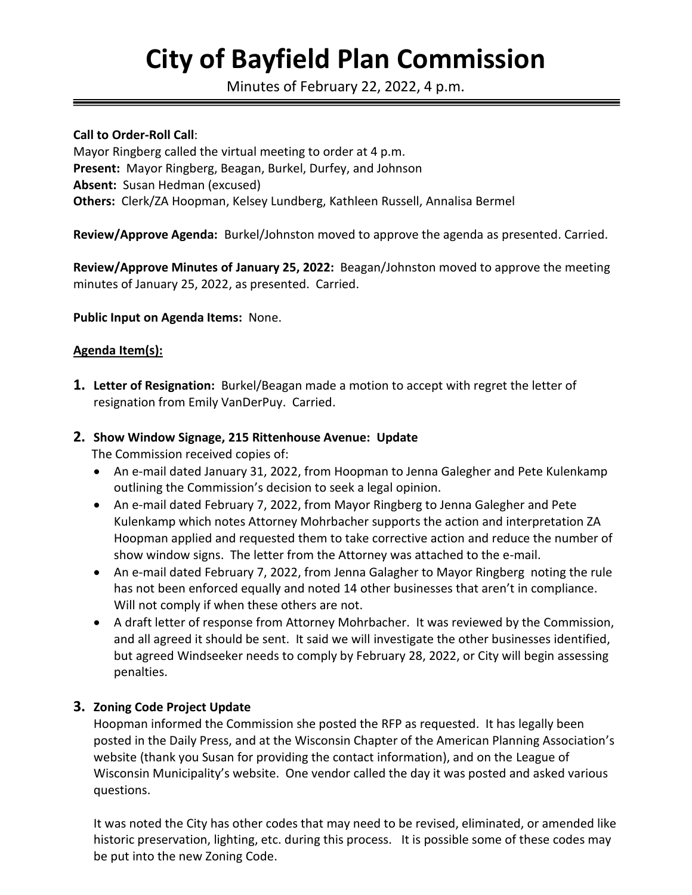# **City of Bayfield Plan Commission**

Minutes of February 22, 2022, 4 p.m.

#### **Call to Order-Roll Call**:

Mayor Ringberg called the virtual meeting to order at 4 p.m. **Present:** Mayor Ringberg, Beagan, Burkel, Durfey, and Johnson **Absent:** Susan Hedman (excused) **Others:** Clerk/ZA Hoopman, Kelsey Lundberg, Kathleen Russell, Annalisa Bermel

**Review/Approve Agenda:** Burkel/Johnston moved to approve the agenda as presented. Carried.

**Review/Approve Minutes of January 25, 2022:** Beagan/Johnston moved to approve the meeting minutes of January 25, 2022, as presented. Carried.

#### **Public Input on Agenda Items:** None.

#### **Agenda Item(s):**

**1. Letter of Resignation:** Burkel/Beagan made a motion to accept with regret the letter of resignation from Emily VanDerPuy. Carried.

#### **2. Show Window Signage, 215 Rittenhouse Avenue: Update**

The Commission received copies of:

- An e-mail dated January 31, 2022, from Hoopman to Jenna Galegher and Pete Kulenkamp outlining the Commission's decision to seek a legal opinion.
- An e-mail dated February 7, 2022, from Mayor Ringberg to Jenna Galegher and Pete Kulenkamp which notes Attorney Mohrbacher supports the action and interpretation ZA Hoopman applied and requested them to take corrective action and reduce the number of show window signs. The letter from the Attorney was attached to the e-mail.
- An e-mail dated February 7, 2022, from Jenna Galagher to Mayor Ringberg noting the rule has not been enforced equally and noted 14 other businesses that aren't in compliance. Will not comply if when these others are not.
- A draft letter of response from Attorney Mohrbacher. It was reviewed by the Commission, and all agreed it should be sent. It said we will investigate the other businesses identified, but agreed Windseeker needs to comply by February 28, 2022, or City will begin assessing penalties.

## **3. Zoning Code Project Update**

Hoopman informed the Commission she posted the RFP as requested. It has legally been posted in the Daily Press, and at the Wisconsin Chapter of the American Planning Association's website (thank you Susan for providing the contact information), and on the League of Wisconsin Municipality's website. One vendor called the day it was posted and asked various questions.

It was noted the City has other codes that may need to be revised, eliminated, or amended like historic preservation, lighting, etc. during this process. It is possible some of these codes may be put into the new Zoning Code.